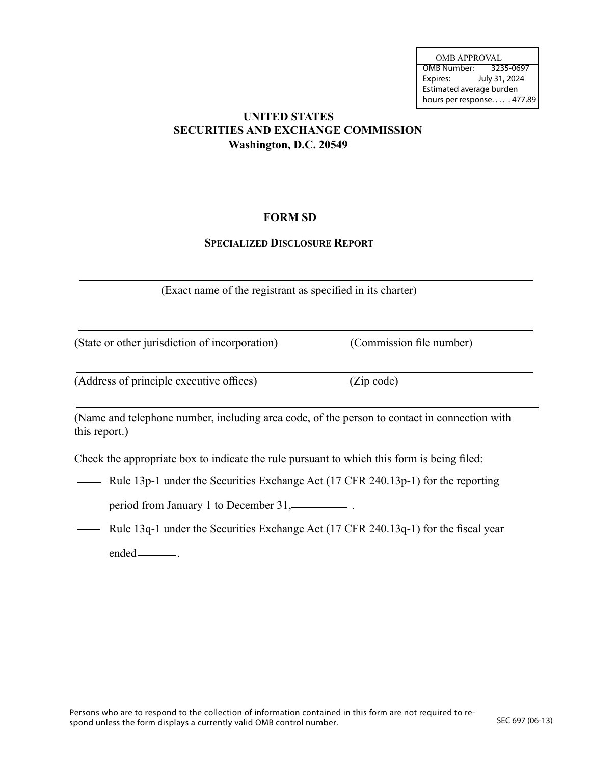OMB Number: 3235-0697 Expires: July 31, 2024 Estimated average burden hours per response. . . . . 477.89 OMB APPROVAL

# **UNITED STATES SECURITIES AND EXCHANGE COMMISSION Washington, D.C. 20549**

# **FORM SD**

## **SPECIALIZED DISCLOSURE REPORT**

(Exact name of the registrant as specified in its charter)

(State or other jurisdiction of incorporation) (Commission file number)

(Address of principle executive offices) (Zip code)

(Name and telephone number, including area code, of the person to contact in connection with this report.)

Check the appropriate box to indicate the rule pursuant to which this form is being filed:

- Rule 13p-1 under the Securities Exchange Act (17 CFR 240.13p-1) for the reporting

period from January 1 to December 31, \_\_\_\_\_\_\_\_\_\_.

- Rule 13q-1 under the Securities Exchange Act (17 CFR 240.13q-1) for the fiscal year ended \_\_\_\_\_\_\_\_\_\_.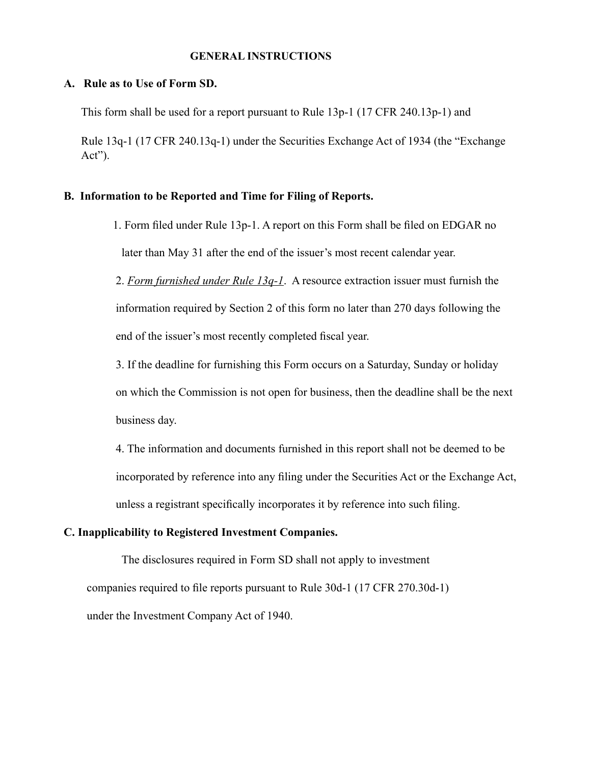#### **GENERAL INSTRUCTIONS**

### **A. Rule as to Use of Form SD.**

This form shall be used for a report pursuant to Rule 13p-1 (17 CFR 240.13p-1) and

Rule 13q-1 (17 CFR 240.13q-1) under the Securities Exchange Act of 1934 (the "Exchange Act").

## **B. Information to be Reported and Time for Filing of Reports.**

 1. Form filed under Rule 13p-1. A report on this Form shall be filed on EDGAR no later than May 31 after the end of the issuer's most recent calendar year.

2. *Form furnished under Rule 13q-1*. A resource extraction issuer must furnish the information required by Section 2 of this form no later than 270 days following the end of the issuer's most recently completed fiscal year.

3. If the deadline for furnishing this Form occurs on a Saturday, Sunday or holiday on which the Commission is not open for business, then the deadline shall be the next business day.

4. The information and documents furnished in this report shall not be deemed to be incorporated by reference into any filing under the Securities Act or the Exchange Act, unless a registrant specifically incorporates it by reference into such filing.

## **C. Inapplicability to Registered Investment Companies.**

The disclosures required in Form SD shall not apply to investment companies required to file reports pursuant to Rule 30d-1 (17 CFR 270.30d-1) under the Investment Company Act of 1940.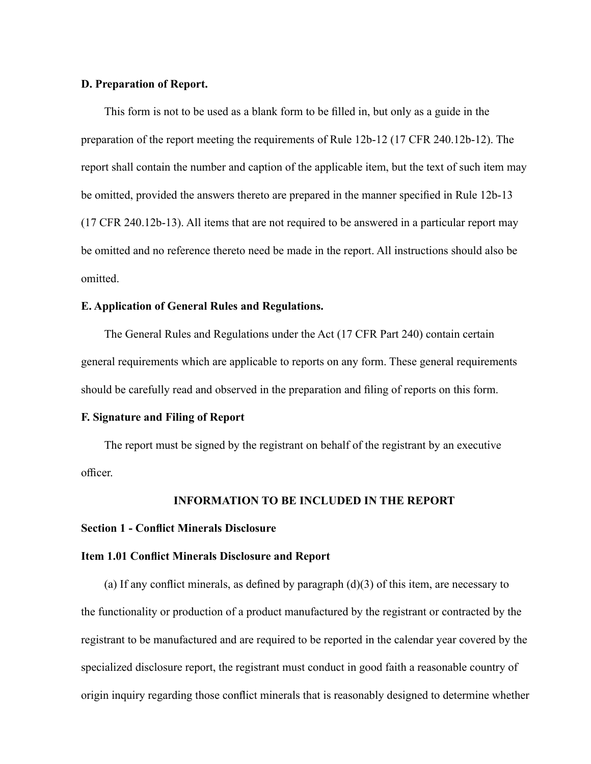#### **D. Preparation of Report.**

This form is not to be used as a blank form to be filled in, but only as a guide in the preparation of the report meeting the requirements of Rule 12b-12 (17 CFR 240.12b-12). The report shall contain the number and caption of the applicable item, but the text of such item may be omitted, provided the answers thereto are prepared in the manner specified in Rule 12b-13 (17 CFR 240.12b-13). All items that are not required to be answered in a particular report may be omitted and no reference thereto need be made in the report. All instructions should also be omitted.

#### **E. Application of General Rules and Regulations.**

The General Rules and Regulations under the Act (17 CFR Part 240) contain certain general requirements which are applicable to reports on any form. These general requirements should be carefully read and observed in the preparation and filing of reports on this form.

### **F. Signature and Filing of Report**

The report must be signed by the registrant on behalf of the registrant by an executive officer.

### **INFORMATION TO BE INCLUDED IN THE REPORT**

### **Section 1 - Conflict Minerals Disclosure**

### **Item 1.01 Conflict Minerals Disclosure and Report**

(a) If any conflict minerals, as defined by paragraph  $(d)(3)$  of this item, are necessary to the functionality or production of a product manufactured by the registrant or contracted by the registrant to be manufactured and are required to be reported in the calendar year covered by the specialized disclosure report, the registrant must conduct in good faith a reasonable country of origin inquiry regarding those conflict minerals that is reasonably designed to determine whether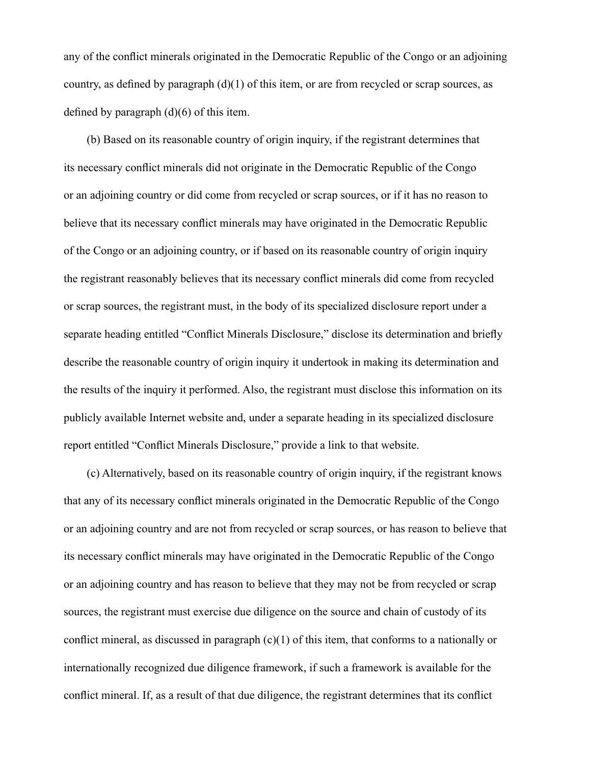any of the conflict minerals originated in the Democratic Republic of the Congo or an adjoining country, as defined by paragraph  $(d)(1)$  of this item, or are from recycled or scrap sources, as defined by paragraph (d)(6) of this item.

(b) Based on its reasonable country of origin inquiry, if the registrant determines that its necessary conflict minerals did not originate in the Democratic Republic of the Congo or an adjoining country or did come from recycled or scrap sources, or if it has no reason to believe that its necessary conflict minerals may have originated in the Democratic Republic of the Congo or an adjoining country, or if based on its reasonable country of origin inquiry the registrant reasonably believes that its necessary conflict minerals did come from recycled or scrap sources, the registrant must, in the body of its specialized disclosure report under a separate heading entitled "Conflict Minerals Disclosure," disclose its determination and briefly describe the reasonable country of origin inquiry it undertook in making its determination and the results of the inquiry it performed. Also, the registrant must disclose this information on its publicly available Internet website and, under a separate heading in its specialized disclosure report entitled "Conflict Minerals Disclosure," provide a link to that website.

(c) Alternatively, based on its reasonable country of origin inquiry, if the registrant knows that any of its necessary conflict minerals originated in the Democratic Republic of the Congo or an adjoining country and are not from recycled or scrap sources, or has reason to believe that its necessary conflict minerals may have originated in the Democratic Republic of the Congo or an adjoining country and has reason to believe that they may not be from recycled or scrap sources, the registrant must exercise due diligence on the source and chain of custody of its conflict mineral, as discussed in paragraph  $(c)(1)$  of this item, that conforms to a nationally or internationally recognized due diligence framework, if such a framework is available for the conflict mineral. If, as a result of that due diligence, the registrant determines that its conflict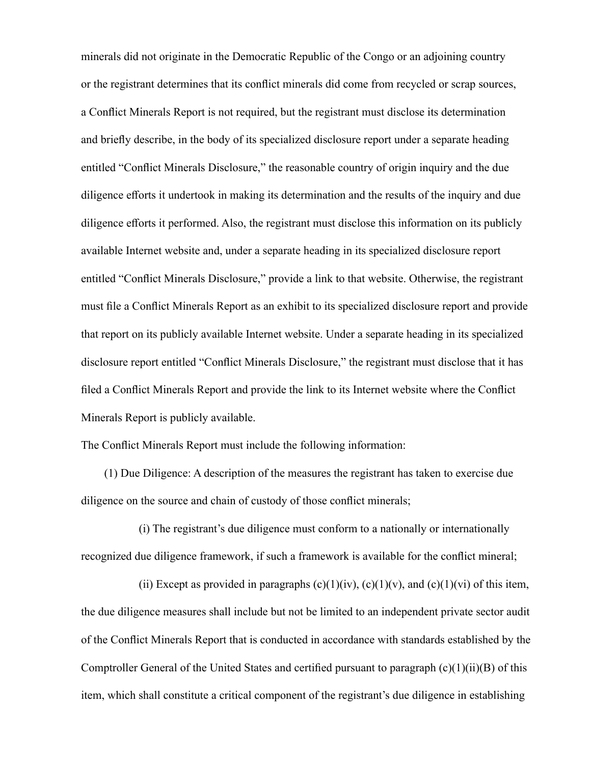minerals did not originate in the Democratic Republic of the Congo or an adjoining country or the registrant determines that its conflict minerals did come from recycled or scrap sources, a Conflict Minerals Report is not required, but the registrant must disclose its determination and briefly describe, in the body of its specialized disclosure report under a separate heading entitled "Conflict Minerals Disclosure," the reasonable country of origin inquiry and the due diligence efforts it undertook in making its determination and the results of the inquiry and due diligence efforts it performed. Also, the registrant must disclose this information on its publicly available Internet website and, under a separate heading in its specialized disclosure report entitled "Conflict Minerals Disclosure," provide a link to that website. Otherwise, the registrant must file a Conflict Minerals Report as an exhibit to its specialized disclosure report and provide that report on its publicly available Internet website. Under a separate heading in its specialized disclosure report entitled "Conflict Minerals Disclosure," the registrant must disclose that it has filed a Conflict Minerals Report and provide the link to its Internet website where the Conflict Minerals Report is publicly available.

The Conflict Minerals Report must include the following information:

(1) Due Diligence: A description of the measures the registrant has taken to exercise due diligence on the source and chain of custody of those conflict minerals;

(i) The registrant's due diligence must conform to a nationally or internationally recognized due diligence framework, if such a framework is available for the conflict mineral;

(ii) Except as provided in paragraphs  $(c)(1)(iv)$ ,  $(c)(1)(v)$ , and  $(c)(1)(vi)$  of this item, the due diligence measures shall include but not be limited to an independent private sector audit of the Conflict Minerals Report that is conducted in accordance with standards established by the Comptroller General of the United States and certified pursuant to paragraph (c)(1)(ii)(B) of this item, which shall constitute a critical component of the registrant's due diligence in establishing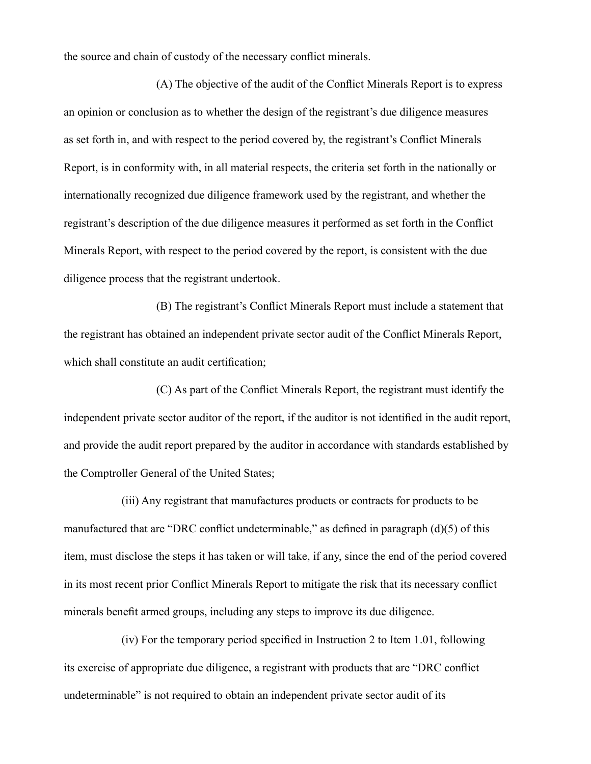the source and chain of custody of the necessary conflict minerals.

(A) The objective of the audit of the Conflict Minerals Report is to express an opinion or conclusion as to whether the design of the registrant's due diligence measures as set forth in, and with respect to the period covered by, the registrant's Conflict Minerals Report, is in conformity with, in all material respects, the criteria set forth in the nationally or internationally recognized due diligence framework used by the registrant, and whether the registrant's description of the due diligence measures it performed as set forth in the Conflict Minerals Report, with respect to the period covered by the report, is consistent with the due diligence process that the registrant undertook.

(B) The registrant's Conflict Minerals Report must include a statement that the registrant has obtained an independent private sector audit of the Conflict Minerals Report, which shall constitute an audit certification;

(C) As part of the Conflict Minerals Report, the registrant must identify the independent private sector auditor of the report, if the auditor is not identified in the audit report, and provide the audit report prepared by the auditor in accordance with standards established by the Comptroller General of the United States;

(iii) Any registrant that manufactures products or contracts for products to be manufactured that are "DRC conflict undeterminable," as defined in paragraph (d)(5) of this item, must disclose the steps it has taken or will take, if any, since the end of the period covered in its most recent prior Conflict Minerals Report to mitigate the risk that its necessary conflict minerals benefit armed groups, including any steps to improve its due diligence.

(iv) For the temporary period specified in Instruction 2 to Item 1.01, following its exercise of appropriate due diligence, a registrant with products that are "DRC conflict undeterminable" is not required to obtain an independent private sector audit of its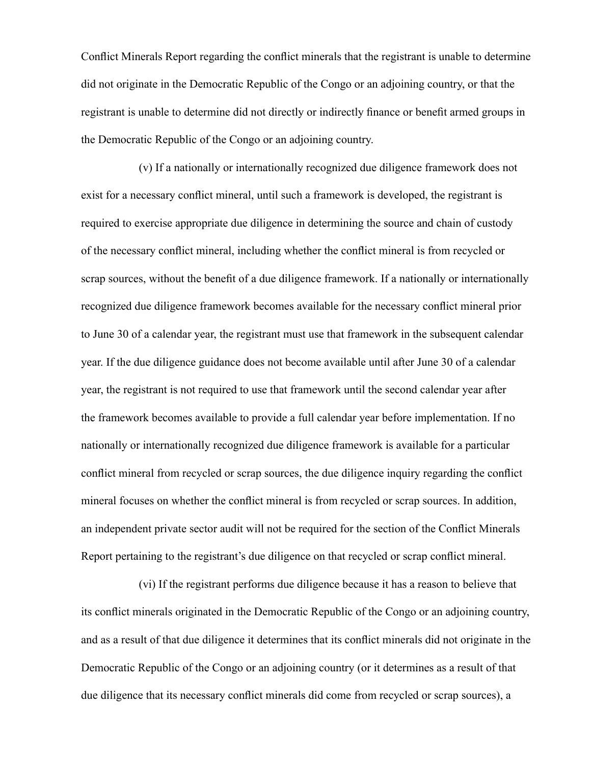Conflict Minerals Report regarding the conflict minerals that the registrant is unable to determine did not originate in the Democratic Republic of the Congo or an adjoining country, or that the registrant is unable to determine did not directly or indirectly finance or benefit armed groups in the Democratic Republic of the Congo or an adjoining country.

(v) If a nationally or internationally recognized due diligence framework does not exist for a necessary conflict mineral, until such a framework is developed, the registrant is required to exercise appropriate due diligence in determining the source and chain of custody of the necessary conflict mineral, including whether the conflict mineral is from recycled or scrap sources, without the benefit of a due diligence framework. If a nationally or internationally recognized due diligence framework becomes available for the necessary conflict mineral prior to June 30 of a calendar year, the registrant must use that framework in the subsequent calendar year. If the due diligence guidance does not become available until after June 30 of a calendar year, the registrant is not required to use that framework until the second calendar year after the framework becomes available to provide a full calendar year before implementation. If no nationally or internationally recognized due diligence framework is available for a particular conflict mineral from recycled or scrap sources, the due diligence inquiry regarding the conflict mineral focuses on whether the conflict mineral is from recycled or scrap sources. In addition, an independent private sector audit will not be required for the section of the Conflict Minerals Report pertaining to the registrant's due diligence on that recycled or scrap conflict mineral.

(vi) If the registrant performs due diligence because it has a reason to believe that its conflict minerals originated in the Democratic Republic of the Congo or an adjoining country, and as a result of that due diligence it determines that its conflict minerals did not originate in the Democratic Republic of the Congo or an adjoining country (or it determines as a result of that due diligence that its necessary conflict minerals did come from recycled or scrap sources), a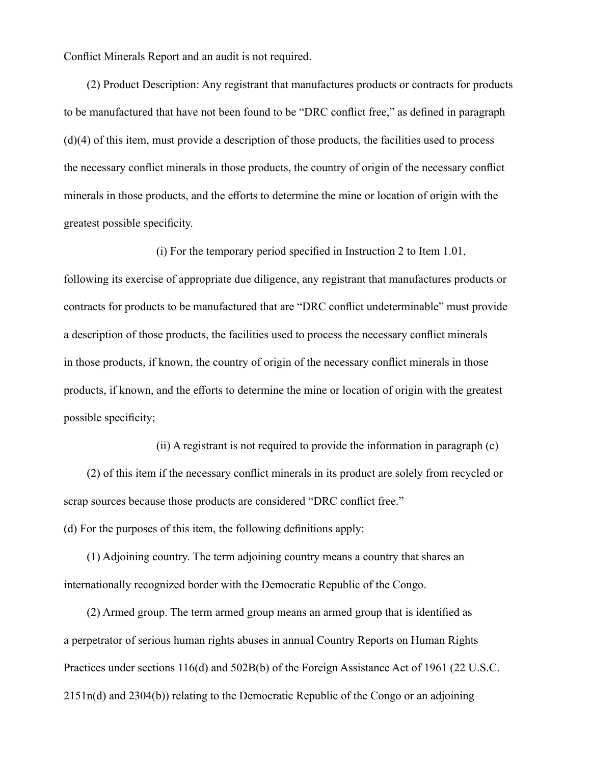Conflict Minerals Report and an audit is not required.

(2) Product Description: Any registrant that manufactures products or contracts for products to be manufactured that have not been found to be "DRC conflict free," as defined in paragraph (d)(4) of this item, must provide a description of those products, the facilities used to process the necessary conflict minerals in those products, the country of origin of the necessary conflict minerals in those products, and the efforts to determine the mine or location of origin with the greatest possible specificity.

(i) For the temporary period specified in Instruction 2 to Item 1.01, following its exercise of appropriate due diligence, any registrant that manufactures products or contracts for products to be manufactured that are "DRC conflict undeterminable" must provide a description of those products, the facilities used to process the necessary conflict minerals in those products, if known, the country of origin of the necessary conflict minerals in those products, if known, and the efforts to determine the mine or location of origin with the greatest possible specificity;

(ii) A registrant is not required to provide the information in paragraph (c) (2) of this item if the necessary conflict minerals in its product are solely from recycled or scrap sources because those products are considered "DRC conflict free." (d) For the purposes of this item, the following definitions apply:

(1) Adjoining country. The term adjoining country means a country that shares an internationally recognized border with the Democratic Republic of the Congo.

(2) Armed group. The term armed group means an armed group that is identified as a perpetrator of serious human rights abuses in annual Country Reports on Human Rights Practices under sections 116(d) and 502B(b) of the Foreign Assistance Act of 1961 (22 U.S.C. 2151n(d) and 2304(b)) relating to the Democratic Republic of the Congo or an adjoining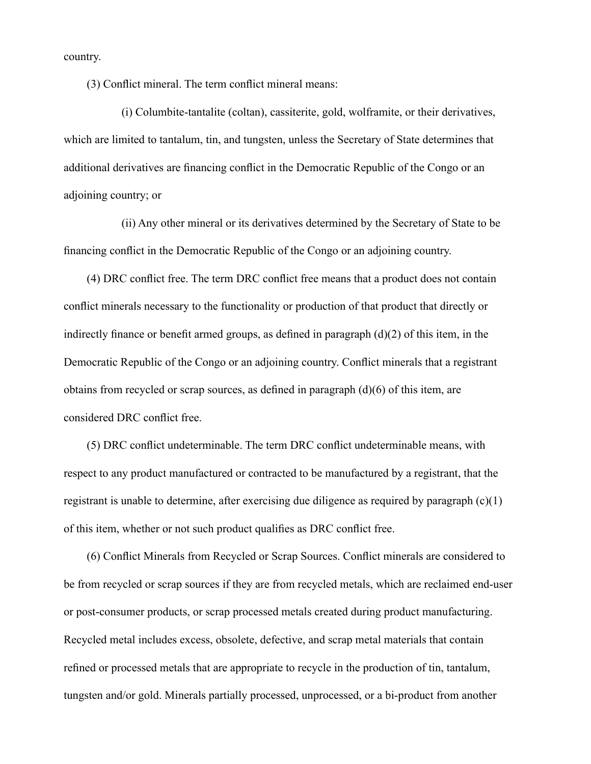country.

(3) Conflict mineral. The term conflict mineral means:

(i) Columbite-tantalite (coltan), cassiterite, gold, wolframite, or their derivatives, which are limited to tantalum, tin, and tungsten, unless the Secretary of State determines that additional derivatives are financing conflict in the Democratic Republic of the Congo or an adjoining country; or

(ii) Any other mineral or its derivatives determined by the Secretary of State to be financing conflict in the Democratic Republic of the Congo or an adjoining country.

(4) DRC conflict free. The term DRC conflict free means that a product does not contain conflict minerals necessary to the functionality or production of that product that directly or indirectly finance or benefit armed groups, as defined in paragraph (d)(2) of this item, in the Democratic Republic of the Congo or an adjoining country. Conflict minerals that a registrant obtains from recycled or scrap sources, as defined in paragraph (d)(6) of this item, are considered DRC conflict free.

(5) DRC conflict undeterminable. The term DRC conflict undeterminable means, with respect to any product manufactured or contracted to be manufactured by a registrant, that the registrant is unable to determine, after exercising due diligence as required by paragraph (c)(1) of this item, whether or not such product qualifies as DRC conflict free.

(6) Conflict Minerals from Recycled or Scrap Sources. Conflict minerals are considered to be from recycled or scrap sources if they are from recycled metals, which are reclaimed end-user or post-consumer products, or scrap processed metals created during product manufacturing. Recycled metal includes excess, obsolete, defective, and scrap metal materials that contain refined or processed metals that are appropriate to recycle in the production of tin, tantalum, tungsten and/or gold. Minerals partially processed, unprocessed, or a bi-product from another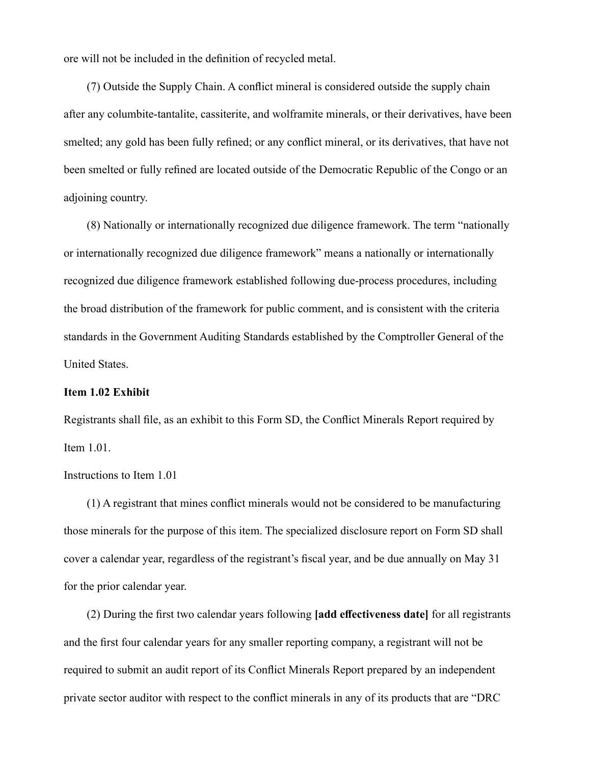ore will not be included in the definition of recycled metal.

(7) Outside the Supply Chain. A conflict mineral is considered outside the supply chain after any columbite-tantalite, cassiterite, and wolframite minerals, or their derivatives, have been smelted; any gold has been fully refined; or any conflict mineral, or its derivatives, that have not been smelted or fully refined are located outside of the Democratic Republic of the Congo or an adjoining country.

(8) Nationally or internationally recognized due diligence framework. The term "nationally or internationally recognized due diligence framework" means a nationally or internationally recognized due diligence framework established following due-process procedures, including the broad distribution of the framework for public comment, and is consistent with the criteria standards in the Government Auditing Standards established by the Comptroller General of the United States.

## **Item 1.02 Exhibit**

Registrants shall file, as an exhibit to this Form SD, the Conflict Minerals Report required by Item 1.01.

## Instructions to Item 1.01

(1) A registrant that mines conflict minerals would not be considered to be manufacturing those minerals for the purpose of this item. The specialized disclosure report on Form SD shall cover a calendar year, regardless of the registrant's fiscal year, and be due annually on May 31 for the prior calendar year.

(2) During the first two calendar years following **[add effectiveness date]** for all registrants and the first four calendar years for any smaller reporting company, a registrant will not be required to submit an audit report of its Conflict Minerals Report prepared by an independent private sector auditor with respect to the conflict minerals in any of its products that are "DRC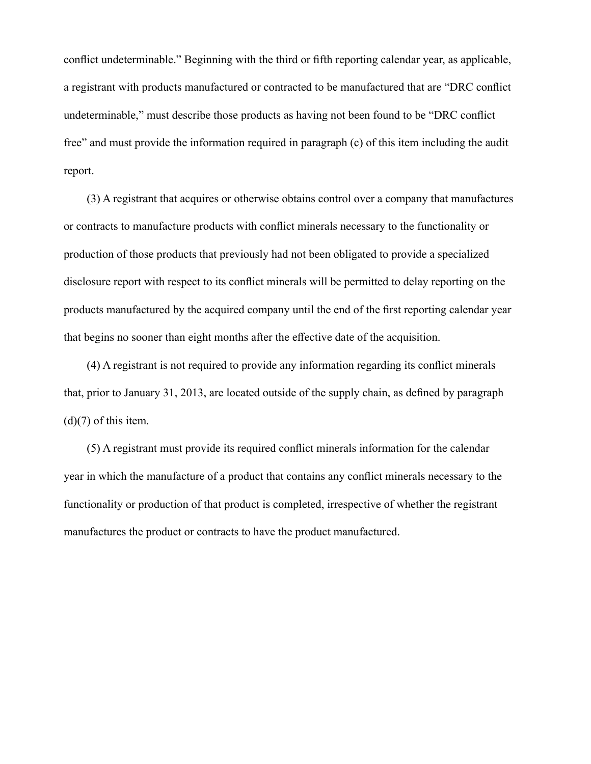conflict undeterminable." Beginning with the third or fifth reporting calendar year, as applicable, a registrant with products manufactured or contracted to be manufactured that are "DRC conflict undeterminable," must describe those products as having not been found to be "DRC conflict free" and must provide the information required in paragraph (c) of this item including the audit report.

(3) A registrant that acquires or otherwise obtains control over a company that manufactures or contracts to manufacture products with conflict minerals necessary to the functionality or production of those products that previously had not been obligated to provide a specialized disclosure report with respect to its conflict minerals will be permitted to delay reporting on the products manufactured by the acquired company until the end of the first reporting calendar year that begins no sooner than eight months after the effective date of the acquisition.

(4) A registrant is not required to provide any information regarding its conflict minerals that, prior to January 31, 2013, are located outside of the supply chain, as defined by paragraph  $(d)(7)$  of this item.

(5) A registrant must provide its required conflict minerals information for the calendar year in which the manufacture of a product that contains any conflict minerals necessary to the functionality or production of that product is completed, irrespective of whether the registrant manufactures the product or contracts to have the product manufactured.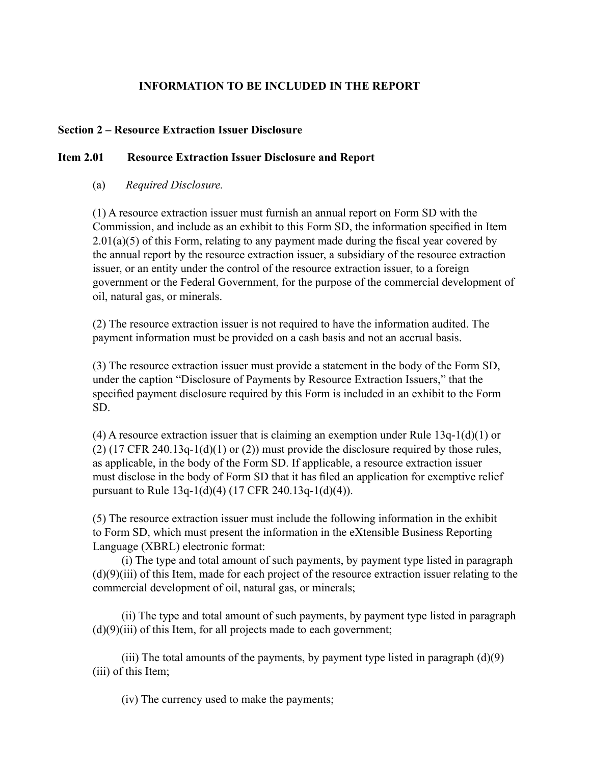# **INFORMATION TO BE INCLUDED IN THE REPORT**

## **Section 2 – Resource Extraction Issuer Disclosure**

## **Item 2.01 Resource Extraction Issuer Disclosure and Report**

## (a) *Required Disclosure.*

(1) A resource extraction issuer must furnish an annual report on Form SD with the Commission, and include as an exhibit to this Form SD, the information specified in Item  $2.01(a)(5)$  of this Form, relating to any payment made during the fiscal year covered by the annual report by the resource extraction issuer, a subsidiary of the resource extraction issuer, or an entity under the control of the resource extraction issuer, to a foreign government or the Federal Government, for the purpose of the commercial development of oil, natural gas, or minerals.

(2) The resource extraction issuer is not required to have the information audited. The payment information must be provided on a cash basis and not an accrual basis.

(3) The resource extraction issuer must provide a statement in the body of the Form SD, under the caption "Disclosure of Payments by Resource Extraction Issuers," that the specified payment disclosure required by this Form is included in an exhibit to the Form SD.

(4) A resource extraction issuer that is claiming an exemption under Rule  $13q-1(d)(1)$  or  $(2)$  (17 CFR 240.13q-1(d)(1) or (2)) must provide the disclosure required by those rules, as applicable, in the body of the Form SD. If applicable, a resource extraction issuer must disclose in the body of Form SD that it has filed an application for exemptive relief pursuant to Rule 13q-1(d)(4) (17 CFR 240.13q-1(d)(4)).

(5) The resource extraction issuer must include the following information in the exhibit to Form SD, which must present the information in the eXtensible Business Reporting Language (XBRL) electronic format:

(i) The type and total amount of such payments, by payment type listed in paragraph (d)(9)(iii) of this Item, made for each project of the resource extraction issuer relating to the commercial development of oil, natural gas, or minerals;

(ii) The type and total amount of such payments, by payment type listed in paragraph  $(d)(9)(iii)$  of this Item, for all projects made to each government;

(iii) The total amounts of the payments, by payment type listed in paragraph  $(d)(9)$ (iii) of this Item;

(iv) The currency used to make the payments;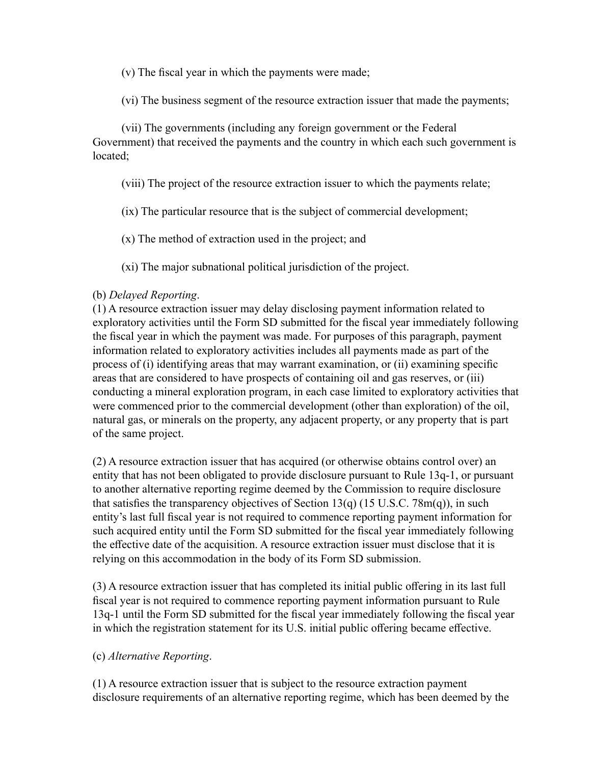(v) The fiscal year in which the payments were made;

(vi) The business segment of the resource extraction issuer that made the payments;

(vii) The governments (including any foreign government or the Federal Government) that received the payments and the country in which each such government is located;

(viii) The project of the resource extraction issuer to which the payments relate;

(ix) The particular resource that is the subject of commercial development;

(x) The method of extraction used in the project; and

(xi) The major subnational political jurisdiction of the project.

## (b) *Delayed Reporting*.

(1) A resource extraction issuer may delay disclosing payment information related to exploratory activities until the Form SD submitted for the fiscal year immediately following the fiscal year in which the payment was made. For purposes of this paragraph, payment information related to exploratory activities includes all payments made as part of the process of (i) identifying areas that may warrant examination, or (ii) examining specific areas that are considered to have prospects of containing oil and gas reserves, or (iii) conducting a mineral exploration program, in each case limited to exploratory activities that were commenced prior to the commercial development (other than exploration) of the oil, natural gas, or minerals on the property, any adjacent property, or any property that is part of the same project.

(2) A resource extraction issuer that has acquired (or otherwise obtains control over) an entity that has not been obligated to provide disclosure pursuant to Rule 13q-1, or pursuant to another alternative reporting regime deemed by the Commission to require disclosure that satisfies the transparency objectives of Section 13(q) (15 U.S.C. 78m(q)), in such entity's last full fiscal year is not required to commence reporting payment information for such acquired entity until the Form SD submitted for the fiscal year immediately following the effective date of the acquisition. A resource extraction issuer must disclose that it is relying on this accommodation in the body of its Form SD submission.

(3) A resource extraction issuer that has completed its initial public offering in its last full fiscal year is not required to commence reporting payment information pursuant to Rule 13q-1 until the Form SD submitted for the fiscal year immediately following the fiscal year in which the registration statement for its U.S. initial public offering became effective.

# (c) *Alternative Reporting*.

(1) A resource extraction issuer that is subject to the resource extraction payment disclosure requirements of an alternative reporting regime, which has been deemed by the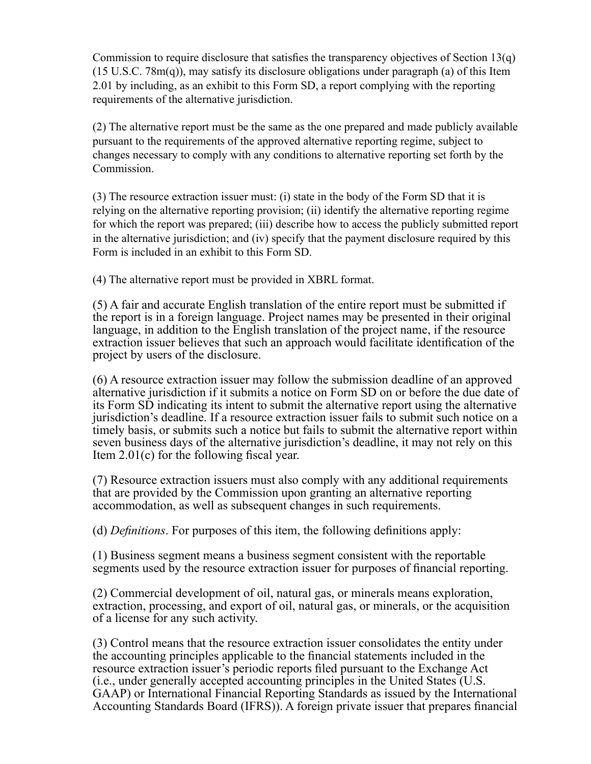Commission to require disclosure that satisfies the transparency objectives of Section 13(q) (15 U.S.C. 78m(q)), may satisfy its disclosure obligations under paragraph (a) of this Item 2.01 by including, as an exhibit to this Form SD, a report complying with the reporting requirements of the alternative jurisdiction.

(2) The alternative report must be the same as the one prepared and made publicly available pursuant to the requirements of the approved alternative reporting regime, subject to changes necessary to comply with any conditions to alternative reporting set forth by the Commission.

(3) The resource extraction issuer must: (i) state in the body of the Form SD that it is relying on the alternative reporting provision; (ii) identify the alternative reporting regime for which the report was prepared; (iii) describe how to access the publicly submitted report in the alternative jurisdiction; and (iv) specify that the payment disclosure required by this Form is included in an exhibit to this Form SD.

(4) The alternative report must be provided in XBRL format.

(5) A fair and accurate English translation of the entire report must be submitted if the report is in a foreign language. Project names may be presented in their original language, in addition to the English translation of the project name, if the resource extraction issuer believes that such an approach would facilitate identification of the project by users of the disclosure.

(6) A resource extraction issuer may follow the submission deadline of an approved alternative jurisdiction if it submits a notice on Form SD on or before the due date of its Form SD indicating its intent to submit the alternative report using the alternative jurisdiction's deadline. If a resource extraction issuer fails to submit such notice on a timely basis, or submits such a notice but fails to submit the alternative report within seven business days of the alternative jurisdiction's deadline, it may not rely on this Item 2.01(c) for the following fiscal year.

(7) Resource extraction issuers must also comply with any additional requirements that are provided by the Commission upon granting an alternative reporting accommodation, as well as subsequent changes in such requirements.

(d) *Definitions*. For purposes of this item, the following definitions apply:

(1) Business segment means a business segment consistent with the reportable segments used by the resource extraction issuer for purposes of financial reporting.

(2) Commercial development of oil, natural gas, or minerals means exploration, extraction, processing, and export of oil, natural gas, or minerals, or the acquisition of a license for any such activity.

(3) Control means that the resource extraction issuer consolidates the entity under the accounting principles applicable to the financial statements included in the resource extraction issuer's periodic reports filed pursuant to the Exchange Act (i.e., under generally accepted accounting principles in the United States (U.S. GAAP) or International Financial Reporting Standards as issued by the International Accounting Standards Board (IFRS)). A foreign private issuer that prepares financial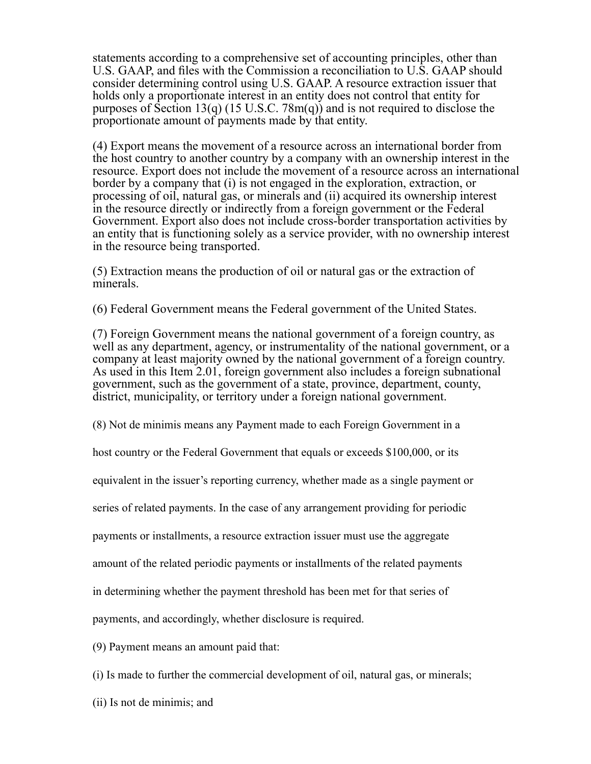statements according to a comprehensive set of accounting principles, other than U.S. GAAP, and files with the Commission a reconciliation to U.S. GAAP should consider determining control using U.S. GAAP. A resource extraction issuer that holds only a proportionate interest in an entity does not control that entity for purposes of Section 13(q) (15 U.S.C. 78m(q)) and is not required to disclose the proportionate amount of payments made by that entity.

(4) Export means the movement of a resource across an international border from the host country to another country by a company with an ownership interest in the resource. Export does not include the movement of a resource across an international border by a company that (i) is not engaged in the exploration, extraction, or processing of oil, natural gas, or minerals and (ii) acquired its ownership interest in the resource directly or indirectly from a foreign government or the Federal Government. Export also does not include cross-border transportation activities by an entity that is functioning solely as a service provider, with no ownership interest in the resource being transported.

(5) Extraction means the production of oil or natural gas or the extraction of minerals.

(6) Federal Government means the Federal government of the United States.

(7) Foreign Government means the national government of a foreign country, as well as any department, agency, or instrumentality of the national government, or a company at least majority owned by the national government of a foreign country. As used in this Item 2.01, foreign government also includes a foreign subnational government, such as the government of a state, province, department, county, district, municipality, or territory under a foreign national government.

(8) Not de minimis means any Payment made to each Foreign Government in a

host country or the Federal Government that equals or exceeds \$100,000, or its

equivalent in the issuer's reporting currency, whether made as a single payment or

series of related payments. In the case of any arrangement providing for periodic

payments or installments, a resource extraction issuer must use the aggregate

amount of the related periodic payments or installments of the related payments

in determining whether the payment threshold has been met for that series of

payments, and accordingly, whether disclosure is required.

(9) Payment means an amount paid that:

(i) Is made to further the commercial development of oil, natural gas, or minerals;

(ii) Is not de minimis; and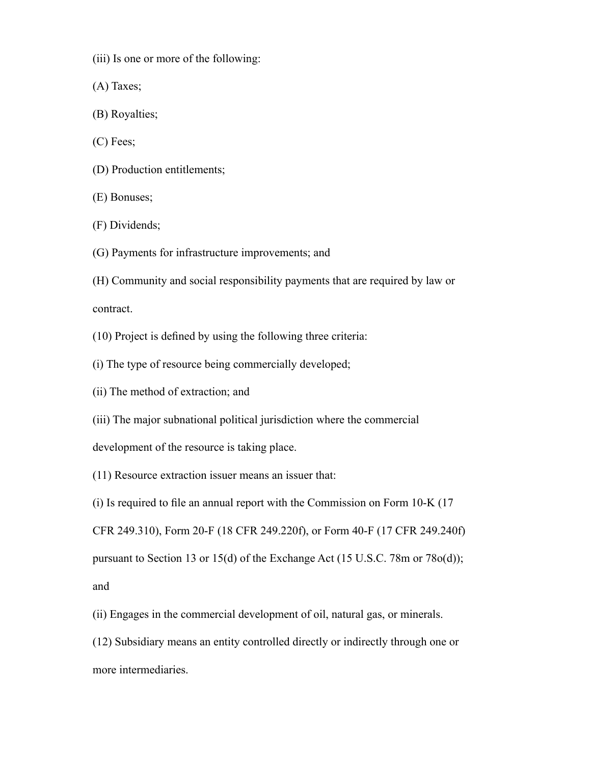- (iii) Is one or more of the following:
- (A) Taxes;
- (B) Royalties;
- (C) Fees;
- (D) Production entitlements;
- (E) Bonuses;
- (F) Dividends;
- (G) Payments for infrastructure improvements; and
- (H) Community and social responsibility payments that are required by law or

contract.

- (10) Project is defined by using the following three criteria:
- (i) The type of resource being commercially developed;
- (ii) The method of extraction; and
- (iii) The major subnational political jurisdiction where the commercial

development of the resource is taking place.

(11) Resource extraction issuer means an issuer that:

(i) Is required to file an annual report with the Commission on Form 10-K (17

CFR 249.310), Form 20-F (18 CFR 249.220f), or Form 40-F (17 CFR 249.240f)

pursuant to Section 13 or 15(d) of the Exchange Act (15 U.S.C. 78m or 78o(d));

and

(ii) Engages in the commercial development of oil, natural gas, or minerals.

(12) Subsidiary means an entity controlled directly or indirectly through one or more intermediaries.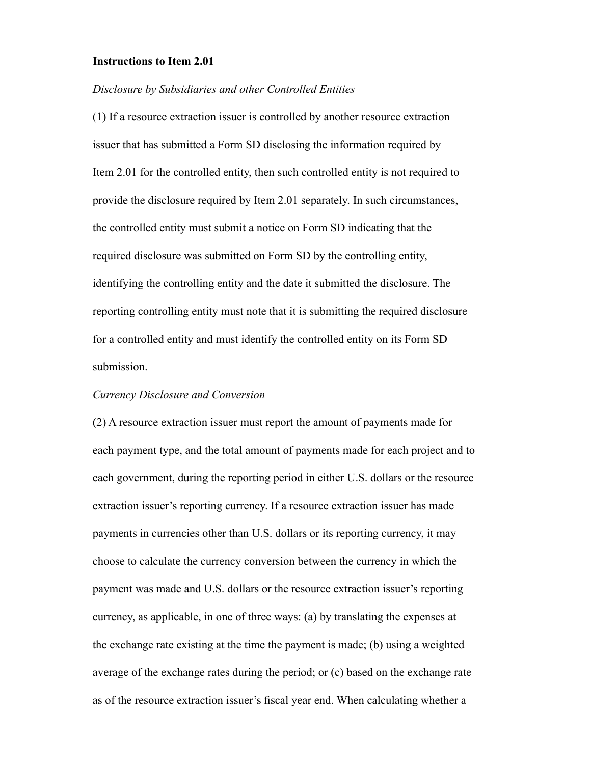#### **Instructions to Item 2.01**

#### *Disclosure by Subsidiaries and other Controlled Entities*

(1) If a resource extraction issuer is controlled by another resource extraction issuer that has submitted a Form SD disclosing the information required by Item 2.01 for the controlled entity, then such controlled entity is not required to provide the disclosure required by Item 2.01 separately. In such circumstances, the controlled entity must submit a notice on Form SD indicating that the required disclosure was submitted on Form SD by the controlling entity, identifying the controlling entity and the date it submitted the disclosure. The reporting controlling entity must note that it is submitting the required disclosure for a controlled entity and must identify the controlled entity on its Form SD submission.

## *Currency Disclosure and Conversion*

(2) A resource extraction issuer must report the amount of payments made for each payment type, and the total amount of payments made for each project and to each government, during the reporting period in either U.S. dollars or the resource extraction issuer's reporting currency. If a resource extraction issuer has made payments in currencies other than U.S. dollars or its reporting currency, it may choose to calculate the currency conversion between the currency in which the payment was made and U.S. dollars or the resource extraction issuer's reporting currency, as applicable, in one of three ways: (a) by translating the expenses at the exchange rate existing at the time the payment is made; (b) using a weighted average of the exchange rates during the period; or (c) based on the exchange rate as of the resource extraction issuer's fiscal year end. When calculating whether a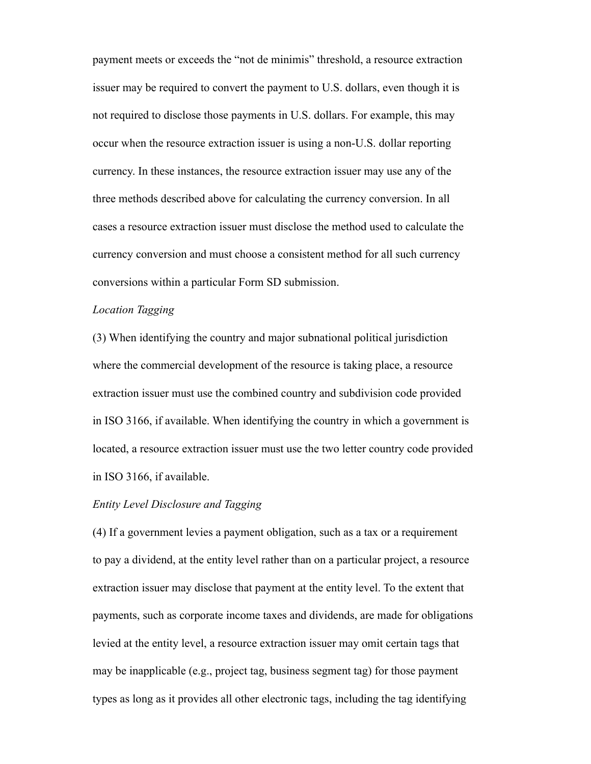payment meets or exceeds the "not de minimis" threshold, a resource extraction issuer may be required to convert the payment to U.S. dollars, even though it is not required to disclose those payments in U.S. dollars. For example, this may occur when the resource extraction issuer is using a non-U.S. dollar reporting currency. In these instances, the resource extraction issuer may use any of the three methods described above for calculating the currency conversion. In all cases a resource extraction issuer must disclose the method used to calculate the currency conversion and must choose a consistent method for all such currency conversions within a particular Form SD submission.

### *Location Tagging*

(3) When identifying the country and major subnational political jurisdiction where the commercial development of the resource is taking place, a resource extraction issuer must use the combined country and subdivision code provided in ISO 3166, if available. When identifying the country in which a government is located, a resource extraction issuer must use the two letter country code provided in ISO 3166, if available.

## *Entity Level Disclosure and Tagging*

(4) If a government levies a payment obligation, such as a tax or a requirement to pay a dividend, at the entity level rather than on a particular project, a resource extraction issuer may disclose that payment at the entity level. To the extent that payments, such as corporate income taxes and dividends, are made for obligations levied at the entity level, a resource extraction issuer may omit certain tags that may be inapplicable (e.g., project tag, business segment tag) for those payment types as long as it provides all other electronic tags, including the tag identifying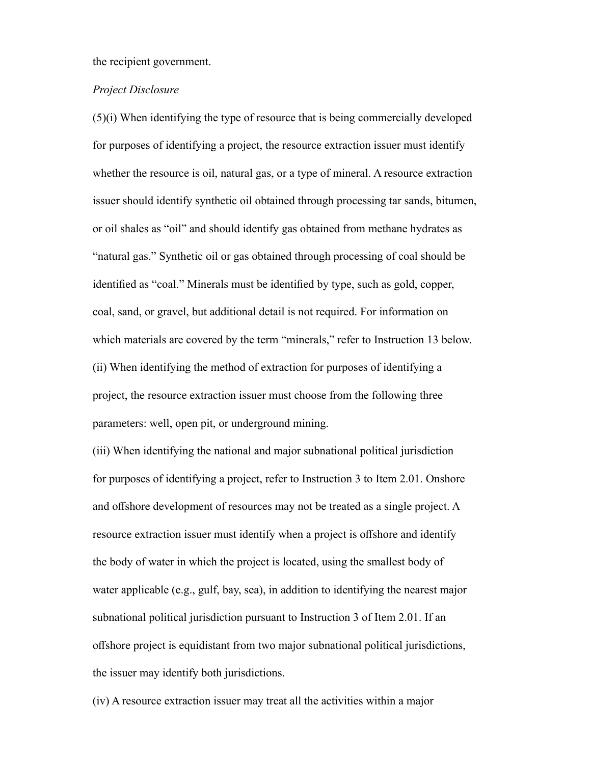the recipient government.

## *Project Disclosure*

(5)(i) When identifying the type of resource that is being commercially developed for purposes of identifying a project, the resource extraction issuer must identify whether the resource is oil, natural gas, or a type of mineral. A resource extraction issuer should identify synthetic oil obtained through processing tar sands, bitumen, or oil shales as "oil" and should identify gas obtained from methane hydrates as "natural gas." Synthetic oil or gas obtained through processing of coal should be identified as "coal." Minerals must be identified by type, such as gold, copper, coal, sand, or gravel, but additional detail is not required. For information on which materials are covered by the term "minerals," refer to Instruction 13 below. (ii) When identifying the method of extraction for purposes of identifying a project, the resource extraction issuer must choose from the following three parameters: well, open pit, or underground mining.

(iii) When identifying the national and major subnational political jurisdiction for purposes of identifying a project, refer to Instruction 3 to Item 2.01. Onshore and offshore development of resources may not be treated as a single project. A resource extraction issuer must identify when a project is offshore and identify the body of water in which the project is located, using the smallest body of water applicable (e.g., gulf, bay, sea), in addition to identifying the nearest major subnational political jurisdiction pursuant to Instruction 3 of Item 2.01. If an offshore project is equidistant from two major subnational political jurisdictions, the issuer may identify both jurisdictions.

(iv) A resource extraction issuer may treat all the activities within a major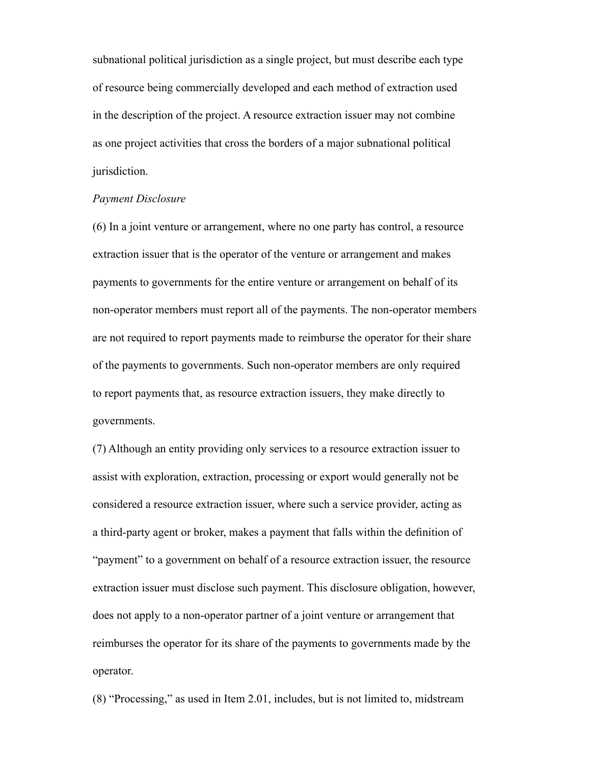subnational political jurisdiction as a single project, but must describe each type of resource being commercially developed and each method of extraction used in the description of the project. A resource extraction issuer may not combine as one project activities that cross the borders of a major subnational political jurisdiction.

### *Payment Disclosure*

(6) In a joint venture or arrangement, where no one party has control, a resource extraction issuer that is the operator of the venture or arrangement and makes payments to governments for the entire venture or arrangement on behalf of its non-operator members must report all of the payments. The non-operator members are not required to report payments made to reimburse the operator for their share of the payments to governments. Such non-operator members are only required to report payments that, as resource extraction issuers, they make directly to governments.

(7) Although an entity providing only services to a resource extraction issuer to assist with exploration, extraction, processing or export would generally not be considered a resource extraction issuer, where such a service provider, acting as a third-party agent or broker, makes a payment that falls within the definition of "payment" to a government on behalf of a resource extraction issuer, the resource extraction issuer must disclose such payment. This disclosure obligation, however, does not apply to a non-operator partner of a joint venture or arrangement that reimburses the operator for its share of the payments to governments made by the operator.

(8) "Processing," as used in Item 2.01, includes, but is not limited to, midstream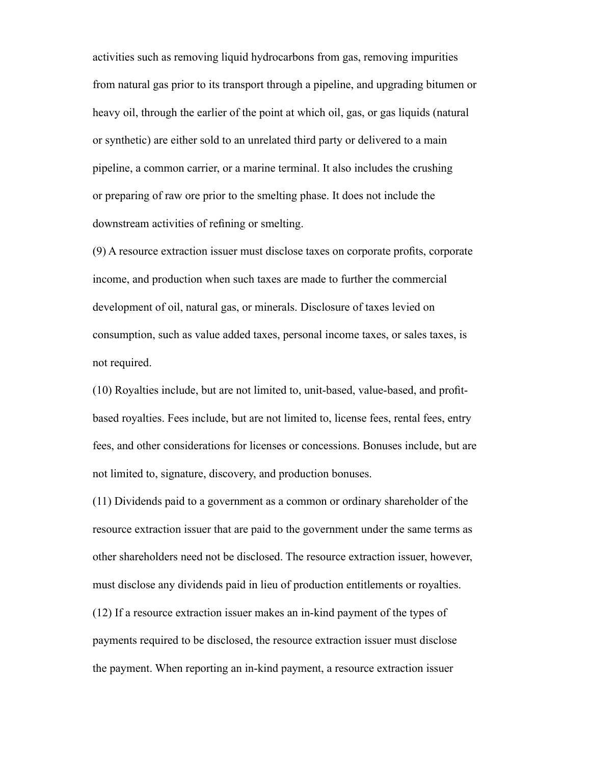activities such as removing liquid hydrocarbons from gas, removing impurities from natural gas prior to its transport through a pipeline, and upgrading bitumen or heavy oil, through the earlier of the point at which oil, gas, or gas liquids (natural or synthetic) are either sold to an unrelated third party or delivered to a main pipeline, a common carrier, or a marine terminal. It also includes the crushing or preparing of raw ore prior to the smelting phase. It does not include the downstream activities of refining or smelting.

(9) A resource extraction issuer must disclose taxes on corporate profits, corporate income, and production when such taxes are made to further the commercial development of oil, natural gas, or minerals. Disclosure of taxes levied on consumption, such as value added taxes, personal income taxes, or sales taxes, is not required.

(10) Royalties include, but are not limited to, unit-based, value-based, and profitbased royalties. Fees include, but are not limited to, license fees, rental fees, entry fees, and other considerations for licenses or concessions. Bonuses include, but are not limited to, signature, discovery, and production bonuses.

(11) Dividends paid to a government as a common or ordinary shareholder of the resource extraction issuer that are paid to the government under the same terms as other shareholders need not be disclosed. The resource extraction issuer, however, must disclose any dividends paid in lieu of production entitlements or royalties.

(12) If a resource extraction issuer makes an in-kind payment of the types of payments required to be disclosed, the resource extraction issuer must disclose the payment. When reporting an in-kind payment, a resource extraction issuer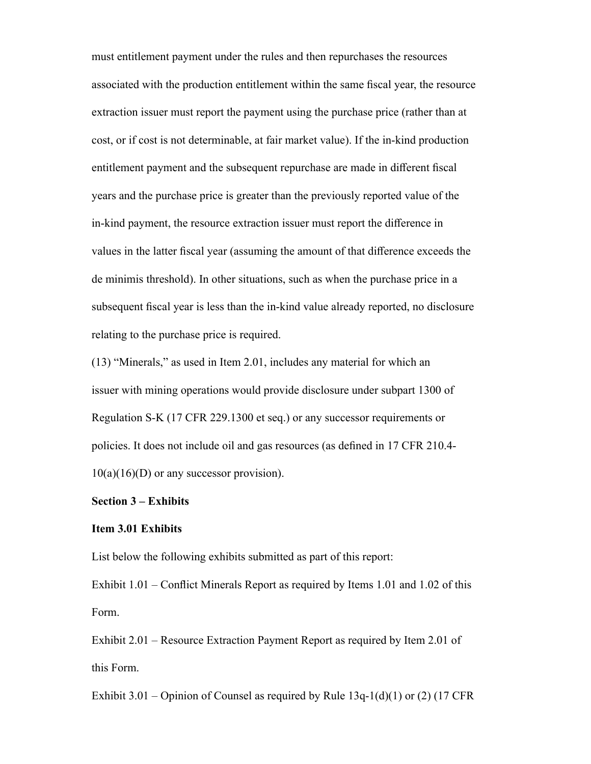must entitlement payment under the rules and then repurchases the resources associated with the production entitlement within the same fiscal year, the resource extraction issuer must report the payment using the purchase price (rather than at cost, or if cost is not determinable, at fair market value). If the in-kind production entitlement payment and the subsequent repurchase are made in different fiscal years and the purchase price is greater than the previously reported value of the in-kind payment, the resource extraction issuer must report the difference in values in the latter fiscal year (assuming the amount of that difference exceeds the de minimis threshold). In other situations, such as when the purchase price in a subsequent fiscal year is less than the in-kind value already reported, no disclosure relating to the purchase price is required.

(13) "Minerals," as used in Item 2.01, includes any material for which an issuer with mining operations would provide disclosure under subpart 1300 of Regulation S-K (17 CFR 229.1300 et seq.) or any successor requirements or policies. It does not include oil and gas resources (as defined in 17 CFR 210.4-  $10(a)(16)(D)$  or any successor provision).

#### **Section 3 – Exhibits**

#### **Item 3.01 Exhibits**

List below the following exhibits submitted as part of this report:

Exhibit 1.01 – Conflict Minerals Report as required by Items 1.01 and 1.02 of this Form.

Exhibit 2.01 – Resource Extraction Payment Report as required by Item 2.01 of this Form.

Exhibit 3.01 – Opinion of Counsel as required by Rule  $13q-1(d)(1)$  or (2) (17 CFR